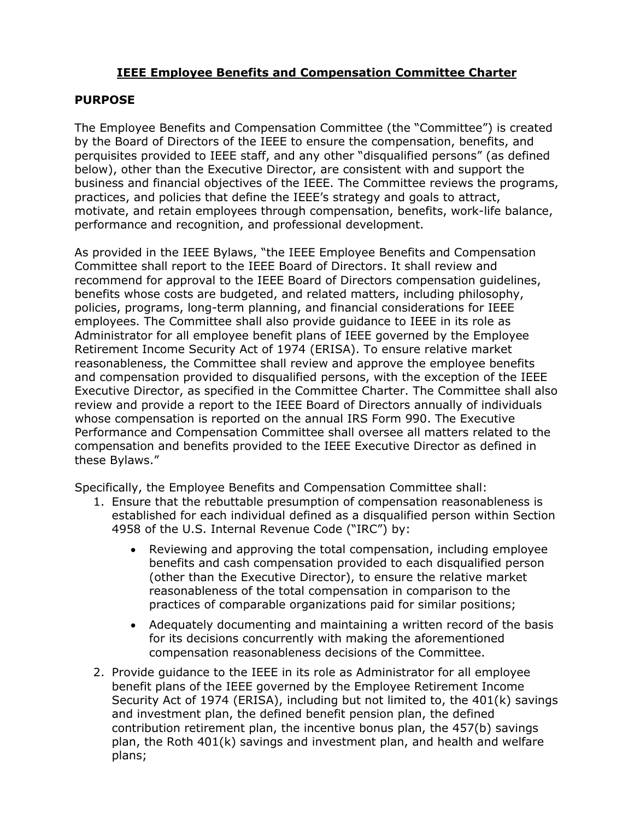### **IEEE Employee Benefits and Compensation Committee Charter**

### **PURPOSE**

The Employee Benefits and Compensation Committee (the "Committee") is created by the Board of Directors of the IEEE to ensure the compensation, benefits, and perquisites provided to IEEE staff, and any other "disqualified persons" (as defined below), other than the Executive Director, are consistent with and support the business and financial objectives of the IEEE. The Committee reviews the programs, practices, and policies that define the IEEE's strategy and goals to attract, motivate, and retain employees through compensation, benefits, work-life balance, performance and recognition, and professional development.

As provided in the IEEE Bylaws, "the IEEE Employee Benefits and Compensation Committee shall report to the IEEE Board of Directors. It shall review and recommend for approval to the IEEE Board of Directors compensation guidelines, benefits whose costs are budgeted, and related matters, including philosophy, policies, programs, long-term planning, and financial considerations for IEEE employees. The Committee shall also provide guidance to IEEE in its role as Administrator for all employee benefit plans of IEEE governed by the Employee Retirement Income Security Act of 1974 (ERISA). To ensure relative market reasonableness, the Committee shall review and approve the employee benefits and compensation provided to disqualified persons, with the exception of the IEEE Executive Director, as specified in the Committee Charter. The Committee shall also review and provide a report to the IEEE Board of Directors annually of individuals whose compensation is reported on the annual IRS Form 990. The Executive Performance and Compensation Committee shall oversee all matters related to the compensation and benefits provided to the IEEE Executive Director as defined in these Bylaws."

Specifically, the Employee Benefits and Compensation Committee shall:

- 1. Ensure that the rebuttable presumption of compensation reasonableness is established for each individual defined as a disqualified person within Section 4958 of the U.S. Internal Revenue Code ("IRC") by:
	- Reviewing and approving the total compensation, including employee benefits and cash compensation provided to each disqualified person (other than the Executive Director), to ensure the relative market reasonableness of the total compensation in comparison to the practices of comparable organizations paid for similar positions;
	- Adequately documenting and maintaining a written record of the basis for its decisions concurrently with making the aforementioned compensation reasonableness decisions of the Committee.
- 2. Provide guidance to the IEEE in its role as Administrator for all employee benefit plans of the IEEE governed by the Employee Retirement Income Security Act of 1974 (ERISA), including but not limited to, the 401(k) savings and investment plan, the defined benefit pension plan, the defined contribution retirement plan, the incentive bonus plan, the 457(b) savings plan, the Roth 401(k) savings and investment plan, and health and welfare plans;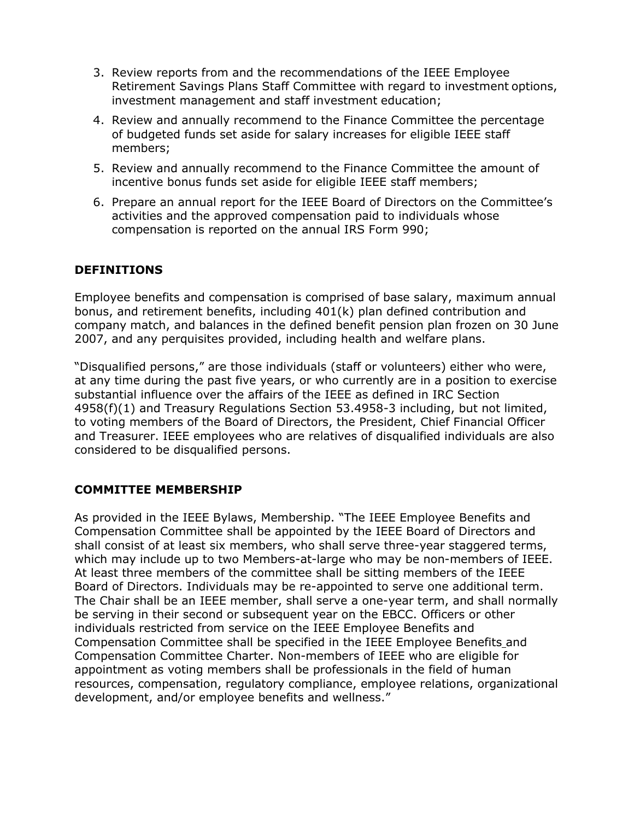- 3. Review reports from and the recommendations of the IEEE Employee Retirement Savings Plans Staff Committee with regard to investment options, investment management and staff investment education;
- 4. Review and annually recommend to the Finance Committee the percentage of budgeted funds set aside for salary increases for eligible IEEE staff members;
- 5. Review and annually recommend to the Finance Committee the amount of incentive bonus funds set aside for eligible IEEE staff members;
- 6. Prepare an annual report for the IEEE Board of Directors on the Committee's activities and the approved compensation paid to individuals whose compensation is reported on the annual IRS Form 990;

#### **DEFINITIONS**

Employee benefits and compensation is comprised of base salary, maximum annual bonus, and retirement benefits, including 401(k) plan defined contribution and company match, and balances in the defined benefit pension plan frozen on 30 June 2007, and any perquisites provided, including health and welfare plans.

"Disqualified persons," are those individuals (staff or volunteers) either who were, at any time during the past five years, or who currently are in a position to exercise substantial influence over the affairs of the IEEE as defined in IRC Section 4958(f)(1) and Treasury Regulations Section 53.4958-3 including, but not limited, to voting members of the Board of Directors, the President, Chief Financial Officer and Treasurer. IEEE employees who are relatives of disqualified individuals are also considered to be disqualified persons.

# **COMMITTEE MEMBERSHIP**

As provided in the IEEE Bylaws, Membership. "The IEEE Employee Benefits and Compensation Committee shall be appointed by the IEEE Board of Directors and shall consist of at least six members, who shall serve three-year staggered terms, which may include up to two Members-at-large who may be non-members of IEEE. At least three members of the committee shall be sitting members of the IEEE Board of Directors. Individuals may be re-appointed to serve one additional term. The Chair shall be an IEEE member, shall serve a one-year term, and shall normally be serving in their second or subsequent year on the EBCC. Officers or other individuals restricted from service on the IEEE Employee Benefits and Compensation Committee shall be specified in the IEEE Employee Benefits and Compensation Committee Charter. Non-members of IEEE who are eligible for appointment as voting members shall be professionals in the field of human resources, compensation, regulatory compliance, employee relations, organizational development, and/or employee benefits and wellness."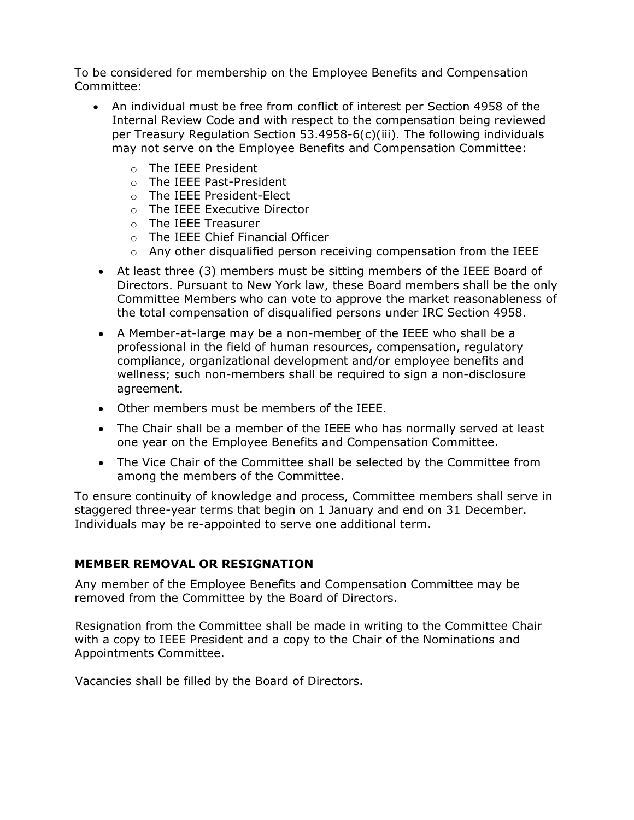To be considered for membership on the Employee Benefits and Compensation Committee:

- An individual must be free from conflict of interest per Section 4958 of the Internal Review Code and with respect to the compensation being reviewed per Treasury Regulation Section 53.4958-6(c)(iii). The following individuals may not serve on the Employee Benefits and Compensation Committee:
	- o The IEEE President
	- o The IEEE Past-President
	- o The IEEE President-Elect
	- o The IEEE Executive Director
	- o The IEEE Treasurer
	- o The IEEE Chief Financial Officer
	- $\circ$  Any other disqualified person receiving compensation from the IEEE
- At least three (3) members must be sitting members of the IEEE Board of Directors. Pursuant to New York law, these Board members shall be the only Committee Members who can vote to approve the market reasonableness of the total compensation of disqualified persons under IRC Section 4958.
- A Member-at-large may be a non-member of the IEEE who shall be a professional in the field of human resources, compensation, regulatory compliance, organizational development and/or employee benefits and wellness; such non-members shall be required to sign a non-disclosure agreement.
- Other members must be members of the IEEE.
- The Chair shall be a member of the IEEE who has normally served at least one year on the Employee Benefits and Compensation Committee.
- The Vice Chair of the Committee shall be selected by the Committee from among the members of the Committee.

To ensure continuity of knowledge and process, Committee members shall serve in staggered three-year terms that begin on 1 January and end on 31 December. Individuals may be re-appointed to serve one additional term.

#### **MEMBER REMOVAL OR RESIGNATION**

Any member of the Employee Benefits and Compensation Committee may be removed from the Committee by the Board of Directors.

Resignation from the Committee shall be made in writing to the Committee Chair with a copy to IEEE President and a copy to the Chair of the Nominations and Appointments Committee.

Vacancies shall be filled by the Board of Directors.